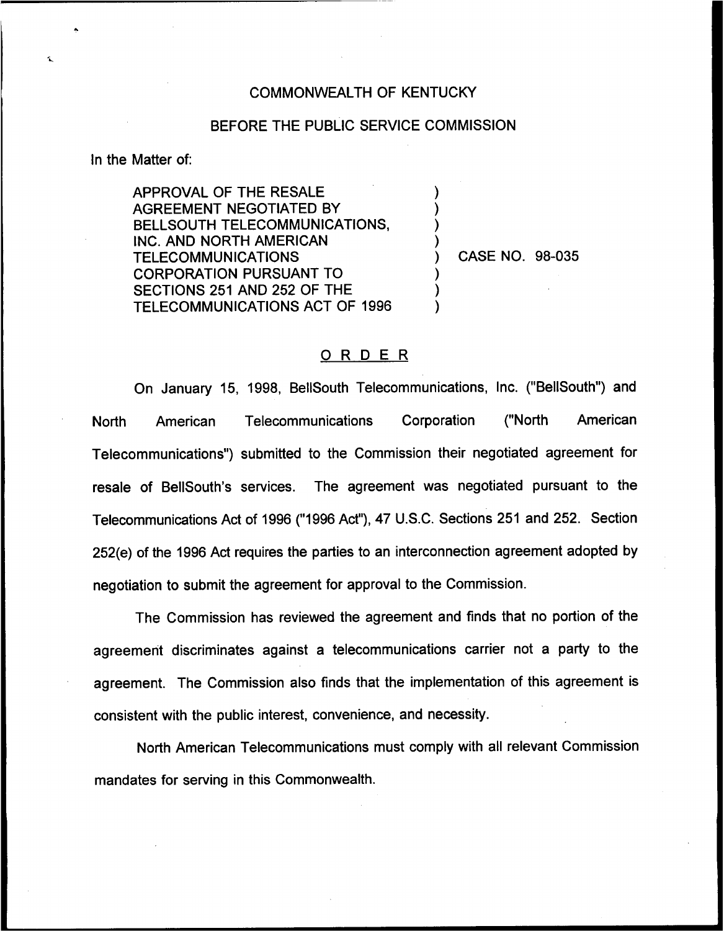## COMMONWEALTH OF KENTUCKY

## BEFORE THE PUBLIC SERVICE COMMISSION

) ) ) )

) ) )

In the Matter of:

APPROVAL OF THE RESALE AGREEMENT NEGOTIATED BY BELLSOUTH TELECOMMUNICATIONS, INC. AND NORTH AMERICAN **TELECOMMUNICATIONS** CORPORATION PURSUANT TO SECTIONS 251 AND 252 OF THE TELECOMMUNICATIONS ACT OF 1996

) CASE NO. 98-035

## ORDER

On January 15, 1998, BellSouth Telecommunications, Inc. ("BellSouth") and North American Telecommunications Corporation ("North American Telecommunications") submitted to the Commission their negotiated agreement for resale of BellSouth's services. The agreement was negotiated pursuant to the Telecommunications Act of 1996 ("1996Act"), 47 U.S.C. Sections 251 and 252. Section 252(e) of the 1996 Act requires the parties to an interconnection agreement adopted by negotiation to submit the agreement for approval to the Commission.

The Commission has reviewed the agreement and finds that no portion of the agreement discriminates against a telecommunications carrier not a party to the agreement. The Commission also finds that the implementation of this agreement is consistent with the public interest, convenience, and necessity.

North American Telecommunications must comply with all relevant Commission mandates for serving in this Commonwealth.